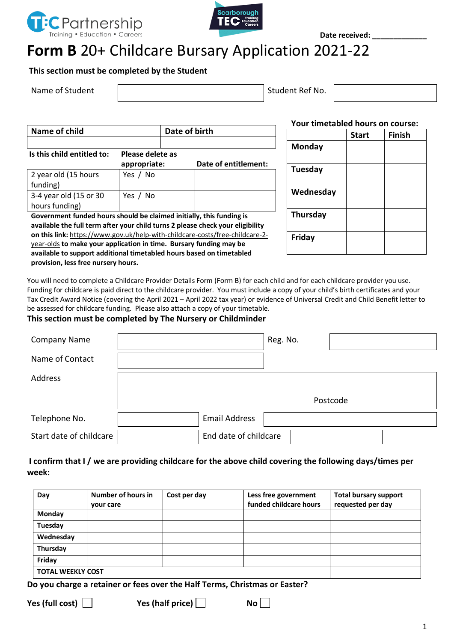



# **Form B** 20+ Childcare Bursary Application 2021-22

**This section must be completed by the Student**

Name of Student  $\overline{\phantom{0}}$   $\overline{\phantom{0}}$   $\overline{\phantom{0}}$  Student Ref No.

| Name of child                                                                  |                  | Date of birth |                      |
|--------------------------------------------------------------------------------|------------------|---------------|----------------------|
|                                                                                |                  |               |                      |
| Is this child entitled to:                                                     | Please delete as |               |                      |
|                                                                                | appropriate:     |               | Date of entitlement: |
| 2 year old (15 hours                                                           | Yes / No         |               |                      |
| funding)                                                                       |                  |               |                      |
| 3-4 year old (15 or 30                                                         | Yes / No         |               |                      |
| hours funding)                                                                 |                  |               |                      |
| Government funded hours should be claimed initially, this funding is           |                  |               |                      |
| available the full term after your child turns 2 please check your eligibility |                  |               |                      |
| on this link: https://www.gov.uk/help-with-childcare-costs/free-childcare-2-   |                  |               |                      |
| year-olds to make your application in time. Bursary funding may be             |                  |               |                      |
| available to support additional timetabled hours based on timetabled           |                  |               |                      |
| provision, less free nursery hours.                                            |                  |               |                      |

# **Your timetabled hours on course:**

|                 | <b>Start</b> | <b>Finish</b> |
|-----------------|--------------|---------------|
| Monday          |              |               |
| <b>Tuesday</b>  |              |               |
| Wednesday       |              |               |
| <b>Thursday</b> |              |               |
| Friday          |              |               |

You will need to complete a Childcare Provider Details Form (Form B) for each child and for each childcare provider you use. Funding for childcare is paid direct to the childcare provider. You must include a copy of your child's birth certificates and your Tax Credit Award Notice (covering the April 2021 – April 2022 tax year) or evidence of Universal Credit and Child Benefit letter to be assessed for childcare funding. Please also attach a copy of your timetable.

## **This section must be completed by The Nursery or Childminder**

| <b>Company Name</b>     | Reg. No.              |
|-------------------------|-----------------------|
| Name of Contact         |                       |
| Address                 |                       |
|                         | Postcode              |
| Telephone No.           | <b>Email Address</b>  |
| Start date of childcare | End date of childcare |

# **I confirm that I / we are providing childcare for the above child covering the following days/times per week:**

| Day                      | Number of hours in<br>your care | Cost per day | Less free government<br>funded childcare hours | <b>Total bursary support</b><br>requested per day |
|--------------------------|---------------------------------|--------------|------------------------------------------------|---------------------------------------------------|
| Monday                   |                                 |              |                                                |                                                   |
| Tuesday                  |                                 |              |                                                |                                                   |
| Wednesday                |                                 |              |                                                |                                                   |
| Thursday                 |                                 |              |                                                |                                                   |
| Friday                   |                                 |              |                                                |                                                   |
| <b>TOTAL WEEKLY COST</b> |                                 |              |                                                |                                                   |

**Do you charge a retainer or fees over the Half Terms, Christmas or Easter?** 

**Yes (full cost) No Yes (half price) No No**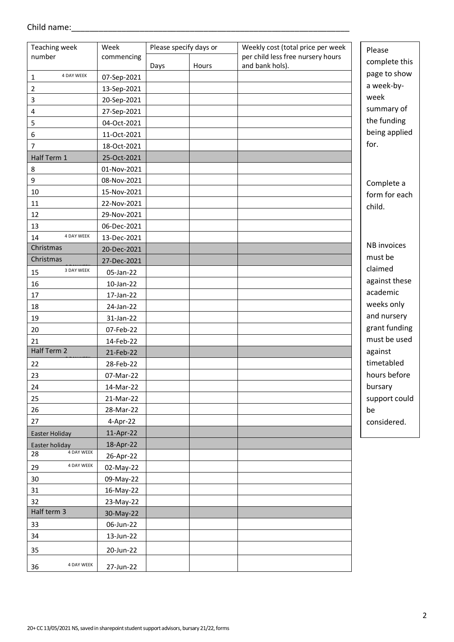| Teaching week           | Week        | Please specify days or |       | Weekly cost (total price per week | Please                |
|-------------------------|-------------|------------------------|-------|-----------------------------------|-----------------------|
| number                  | commencing  |                        |       | per child less free nursery hours | complete this         |
| 4 DAY WEEK              |             | Days                   | Hours | and bank hols).                   | page to show          |
| 1                       | 07-Sep-2021 |                        |       |                                   | a week-by-            |
| $\mathbf{2}$            | 13-Sep-2021 |                        |       |                                   | week                  |
| 3                       | 20-Sep-2021 |                        |       |                                   | summary of            |
| 4                       | 27-Sep-2021 |                        |       |                                   | the funding           |
| 5                       | 04-Oct-2021 |                        |       |                                   |                       |
| 6                       | 11-Oct-2021 |                        |       |                                   | being applied<br>for. |
| 7                       | 18-Oct-2021 |                        |       |                                   |                       |
| Half Term 1             | 25-Oct-2021 |                        |       |                                   |                       |
| 8                       | 01-Nov-2021 |                        |       |                                   |                       |
| 9                       | 08-Nov-2021 |                        |       |                                   | Complete a            |
| 10                      | 15-Nov-2021 |                        |       |                                   | form for each         |
| 11                      | 22-Nov-2021 |                        |       |                                   | child.                |
| 12                      | 29-Nov-2021 |                        |       |                                   |                       |
| 13                      | 06-Dec-2021 |                        |       |                                   |                       |
| 4 DAY WEEK<br>14        | 13-Dec-2021 |                        |       |                                   | <b>NB</b> invoices    |
| Christmas               | 20-Dec-2021 |                        |       |                                   |                       |
| Christmas               | 27-Dec-2021 |                        |       |                                   | must be               |
| 3 DAY WEEK<br>15        | 05-Jan-22   |                        |       |                                   | claimed               |
| 16                      | 10-Jan-22   |                        |       |                                   | against these         |
| 17                      | 17-Jan-22   |                        |       |                                   | academic              |
| 18                      | 24-Jan-22   |                        |       |                                   | weeks only            |
| 19                      | 31-Jan-22   |                        |       |                                   | and nursery           |
| 20                      | 07-Feb-22   |                        |       |                                   | grant funding         |
| 21                      | 14-Feb-22   |                        |       |                                   | must be used          |
| Half Term 2             | 21-Feb-22   |                        |       |                                   | against               |
| 22                      | 28-Feb-22   |                        |       |                                   | timetabled            |
| 23                      | 07-Mar-22   |                        |       |                                   | hours before          |
| 24                      | 14-Mar-22   |                        |       |                                   | bursary               |
| 25                      | 21-Mar-22   |                        |       |                                   | support could         |
| 26                      | 28-Mar-22   |                        |       |                                   | be                    |
| 27                      | 4-Apr-22    |                        |       |                                   | considered.           |
| Easter Holiday          | 11-Apr-22   |                        |       |                                   |                       |
| Easter holiday          | 18-Apr-22   |                        |       |                                   |                       |
| <b>4 DAY WEEK</b><br>28 | 26-Apr-22   |                        |       |                                   |                       |
| 4 DAY WEEK<br>29        | 02-May-22   |                        |       |                                   |                       |
| 30                      | 09-May-22   |                        |       |                                   |                       |
| 31                      | 16-May-22   |                        |       |                                   |                       |
| 32                      | 23-May-22   |                        |       |                                   |                       |
| Half term 3             | 30-May-22   |                        |       |                                   |                       |
| 33                      | 06-Jun-22   |                        |       |                                   |                       |
| 34                      | 13-Jun-22   |                        |       |                                   |                       |
| 35                      | 20-Jun-22   |                        |       |                                   |                       |
|                         |             |                        |       |                                   |                       |
| 4 DAY WEEK<br>36        | 27-Jun-22   |                        |       |                                   |                       |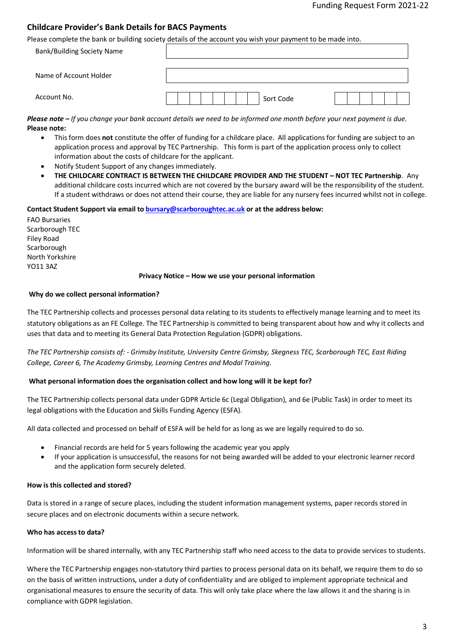## **Childcare Provider's Bank Details for BACS Payments**

Please complete the bank or building society details of the account you wish your payment to be made into.

| <b>Bank/Building Society Name</b> |           |
|-----------------------------------|-----------|
| Name of Account Holder            |           |
| Account No.                       | Sort Code |

*Please note – If you change your bank account details we need to be informed one month before your next payment is due.*  **Please note:**

- This form does **not** constitute the offer of funding for a childcare place. All applications for funding are subject to an application process and approval by TEC Partnership. This form is part of the application process only to collect information about the costs of childcare for the applicant.
- Notify Student Support of any changes immediately.
- **THE CHILDCARE CONTRACT IS BETWEEN THE CHILDCARE PROVIDER AND THE STUDENT – NOT TEC Partnership**. Any additional childcare costs incurred which are not covered by the bursary award will be the responsibility of the student. If a student withdraws or does not attend their course, they are liable for any nursery fees incurred whilst not in college.

**Contact Student Support via email t[o bursary@scarboroughtec.ac.uk](mailto:bursary@scarboroughtec.ac.uk) or at the address below:**

FAO Bursaries Scarborough TEC Filey Road **Scarborough** North Yorkshire YO11 3AZ

#### **Privacy Notice – How we use your personal information**

#### **Why do we collect personal information?**

The TEC Partnership collects and processes personal data relating to its students to effectively manage learning and to meet its statutory obligations as an FE College. The TEC Partnership is committed to being transparent about how and why it collects and uses that data and to meeting its General Data Protection Regulation (GDPR) obligations.

*The TEC Partnership consists of: - Grimsby Institute, University Centre Grimsby, Skegness TEC, Scarborough TEC, East Riding College, Career 6, The Academy Grimsby, Learning Centres and Modal Training.*

## **What personal information does the organisation collect and how long will it be kept for?**

The TEC Partnership collects personal data under GDPR Article 6c (Legal Obligation), and 6e (Public Task) in order to meet its legal obligations with the Education and Skills Funding Agency (ESFA).

All data collected and processed on behalf of ESFA will be held for as long as we are legally required to do so.

- Financial records are held for 5 years following the academic year you apply
- If your application is unsuccessful, the reasons for not being awarded will be added to your electronic learner record and the application form securely deleted.

## **How is this collected and stored?**

Data is stored in a range of secure places, including the student information management systems, paper records stored in secure places and on electronic documents within a secure network.

#### **Who has access to data?**

Information will be shared internally, with any TEC Partnership staff who need access to the data to provide services to students.

Where the TEC Partnership engages non-statutory third parties to process personal data on its behalf, we require them to do so on the basis of written instructions, under a duty of confidentiality and are obliged to implement appropriate technical and organisational measures to ensure the security of data. This will only take place where the law allows it and the sharing is in compliance with GDPR legislation.